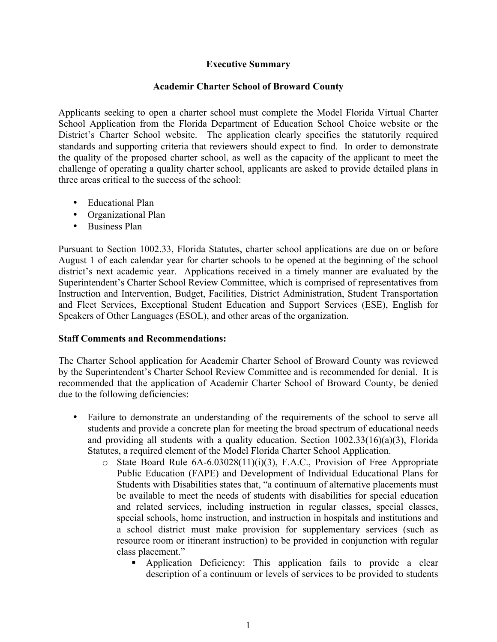## **Executive Summary**

## **Academir Charter School of Broward County**

Applicants seeking to open a charter school must complete the Model Florida Virtual Charter School Application from the Florida Department of Education School Choice website or the District's Charter School website. The application clearly specifies the statutorily required standards and supporting criteria that reviewers should expect to find. In order to demonstrate the quality of the proposed charter school, as well as the capacity of the applicant to meet the challenge of operating a quality charter school, applicants are asked to provide detailed plans in three areas critical to the success of the school:

- Educational Plan
- Organizational Plan
- Business Plan

Pursuant to Section 1002.33, Florida Statutes, charter school applications are due on or before August 1 of each calendar year for charter schools to be opened at the beginning of the school district's next academic year. Applications received in a timely manner are evaluated by the Superintendent's Charter School Review Committee, which is comprised of representatives from Instruction and Intervention, Budget, Facilities, District Administration, Student Transportation and Fleet Services, Exceptional Student Education and Support Services (ESE), English for Speakers of Other Languages (ESOL), and other areas of the organization.

## **Staff Comments and Recommendations:**

The Charter School application for Academir Charter School of Broward County was reviewed by the Superintendent's Charter School Review Committee and is recommended for denial. It is recommended that the application of Academir Charter School of Broward County, be denied due to the following deficiencies:

- Failure to demonstrate an understanding of the requirements of the school to serve all students and provide a concrete plan for meeting the broad spectrum of educational needs and providing all students with a quality education. Section 1002.33(16)(a)(3), Florida Statutes, a required element of the Model Florida Charter School Application.
	- o State Board Rule 6A-6.03028(11)(i)(3), F.A.C., Provision of Free Appropriate Public Education (FAPE) and Development of Individual Educational Plans for Students with Disabilities states that, "a continuum of alternative placements must be available to meet the needs of students with disabilities for special education and related services, including instruction in regular classes, special classes, special schools, home instruction, and instruction in hospitals and institutions and a school district must make provision for supplementary services (such as resource room or itinerant instruction) to be provided in conjunction with regular class placement."
		- § Application Deficiency: This application fails to provide a clear description of a continuum or levels of services to be provided to students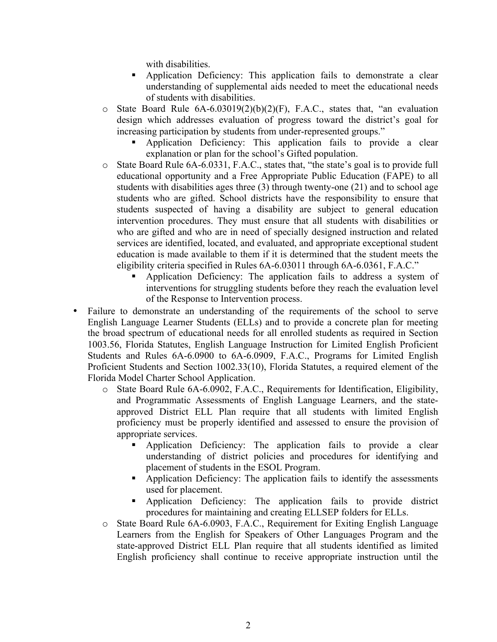with disabilities.

- § Application Deficiency: This application fails to demonstrate a clear understanding of supplemental aids needed to meet the educational needs of students with disabilities.
- $\circ$  State Board Rule 6A-6.03019(2)(b)(2)(F), F.A.C., states that, "an evaluation design which addresses evaluation of progress toward the district's goal for increasing participation by students from under-represented groups."
	- § Application Deficiency: This application fails to provide a clear explanation or plan for the school's Gifted population.
- o State Board Rule 6A-6.0331, F.A.C., states that, "the state's goal is to provide full educational opportunity and a Free Appropriate Public Education (FAPE) to all students with disabilities ages three (3) through twenty-one (21) and to school age students who are gifted. School districts have the responsibility to ensure that students suspected of having a disability are subject to general education intervention procedures. They must ensure that all students with disabilities or who are gifted and who are in need of specially designed instruction and related services are identified, located, and evaluated, and appropriate exceptional student education is made available to them if it is determined that the student meets the eligibility criteria specified in Rules 6A-6.03011 through 6A-6.0361, F.A.C."
	- § Application Deficiency: The application fails to address a system of interventions for struggling students before they reach the evaluation level of the Response to Intervention process.
- Failure to demonstrate an understanding of the requirements of the school to serve English Language Learner Students (ELLs) and to provide a concrete plan for meeting the broad spectrum of educational needs for all enrolled students as required in Section 1003.56, Florida Statutes, English Language Instruction for Limited English Proficient Students and Rules 6A-6.0900 to 6A-6.0909, F.A.C., Programs for Limited English Proficient Students and Section 1002.33(10), Florida Statutes, a required element of the Florida Model Charter School Application.
	- o State Board Rule 6A-6.0902, F.A.C., Requirements for Identification, Eligibility, and Programmatic Assessments of English Language Learners, and the stateapproved District ELL Plan require that all students with limited English proficiency must be properly identified and assessed to ensure the provision of appropriate services.
		- § Application Deficiency: The application fails to provide a clear understanding of district policies and procedures for identifying and placement of students in the ESOL Program.
		- § Application Deficiency: The application fails to identify the assessments used for placement.
		- § Application Deficiency: The application fails to provide district procedures for maintaining and creating ELLSEP folders for ELLs.
	- o State Board Rule 6A-6.0903, F.A.C., Requirement for Exiting English Language Learners from the English for Speakers of Other Languages Program and the state-approved District ELL Plan require that all students identified as limited English proficiency shall continue to receive appropriate instruction until the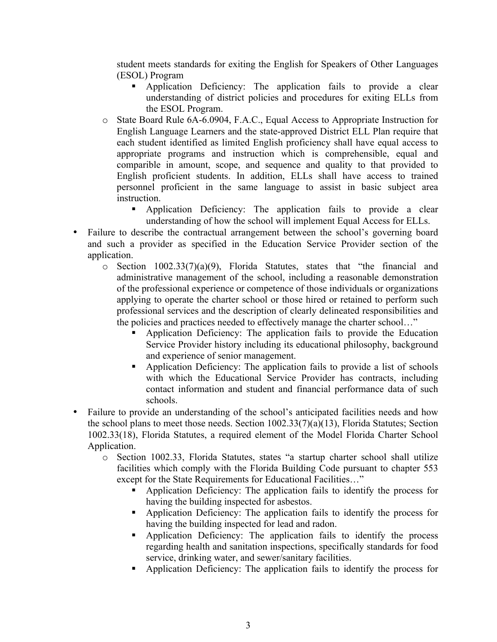student meets standards for exiting the English for Speakers of Other Languages (ESOL) Program

- § Application Deficiency: The application fails to provide a clear understanding of district policies and procedures for exiting ELLs from the ESOL Program.
- o State Board Rule 6A-6.0904, F.A.C., Equal Access to Appropriate Instruction for English Language Learners and the state-approved District ELL Plan require that each student identified as limited English proficiency shall have equal access to appropriate programs and instruction which is comprehensible, equal and comparible in amount, scope, and sequence and quality to that provided to English proficient students. In addition, ELLs shall have access to trained personnel proficient in the same language to assist in basic subject area instruction.
	- § Application Deficiency: The application fails to provide a clear understanding of how the school will implement Equal Access for ELLs.
- Failure to describe the contractual arrangement between the school's governing board and such a provider as specified in the Education Service Provider section of the application.
	- o Section 1002.33(7)(a)(9), Florida Statutes, states that "the financial and administrative management of the school, including a reasonable demonstration of the professional experience or competence of those individuals or organizations applying to operate the charter school or those hired or retained to perform such professional services and the description of clearly delineated responsibilities and the policies and practices needed to effectively manage the charter school…"
		- § Application Deficiency: The application fails to provide the Education Service Provider history including its educational philosophy, background and experience of senior management.
		- § Application Deficiency: The application fails to provide a list of schools with which the Educational Service Provider has contracts, including contact information and student and financial performance data of such schools.
- Failure to provide an understanding of the school's anticipated facilities needs and how the school plans to meet those needs. Section 1002.33(7)(a)(13), Florida Statutes; Section 1002.33(18), Florida Statutes, a required element of the Model Florida Charter School Application.
	- o Section 1002.33, Florida Statutes, states "a startup charter school shall utilize facilities which comply with the Florida Building Code pursuant to chapter 553 except for the State Requirements for Educational Facilities…"
		- § Application Deficiency: The application fails to identify the process for having the building inspected for asbestos.
		- Application Deficiency: The application fails to identify the process for having the building inspected for lead and radon.
		- § Application Deficiency: The application fails to identify the process regarding health and sanitation inspections, specifically standards for food service, drinking water, and sewer/sanitary facilities.
		- § Application Deficiency: The application fails to identify the process for